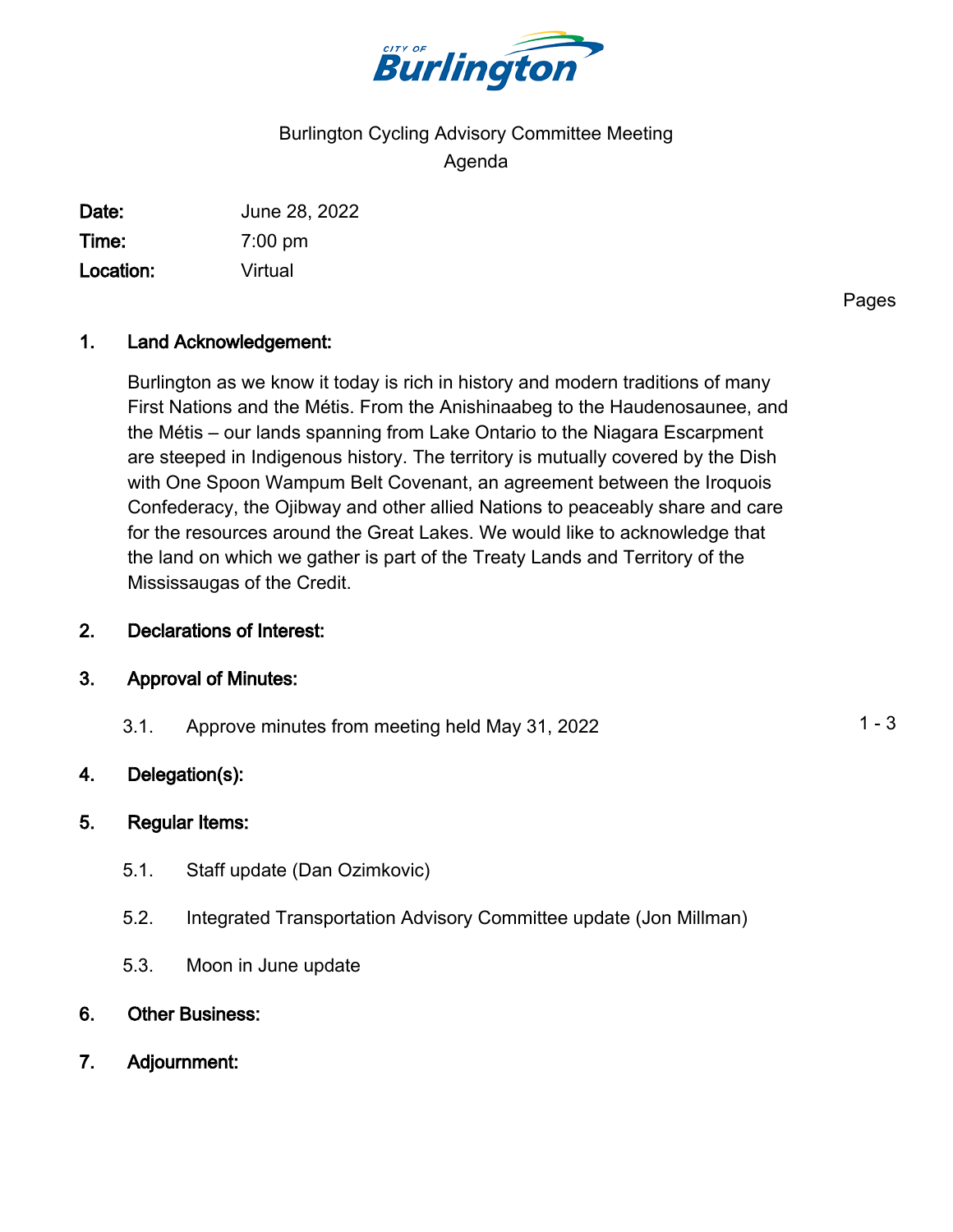

# Burlington Cycling Advisory Committee Meeting Agenda

Date: June 28, 2022 Time: 7:00 pm Location: Virtual

Pages

### 1. Land Acknowledgement:

Burlington as we know it today is rich in history and modern traditions of many First Nations and the Métis. From the Anishinaabeg to the Haudenosaunee, and the Métis – our lands spanning from Lake Ontario to the Niagara Escarpment are steeped in Indigenous history. The territory is mutually covered by the Dish with One Spoon Wampum Belt Covenant, an agreement between the Iroquois Confederacy, the Ojibway and other allied Nations to peaceably share and care for the resources around the Great Lakes. We would like to acknowledge that the land on which we gather is part of the Treaty Lands and Territory of the Mississaugas of the Credit.

#### 2. Declarations of Interest:

### 3. Approval of Minutes:

3.1. Approve minutes from meeting held May 31, 2022 1 1 - 3

### 4. Delegation(s):

#### 5. Regular Items:

- 5.1. Staff update (Dan Ozimkovic)
- 5.2. Integrated Transportation Advisory Committee update (Jon Millman)
- 5.3. Moon in June update
- 6. Other Business:
- 7. Adjournment: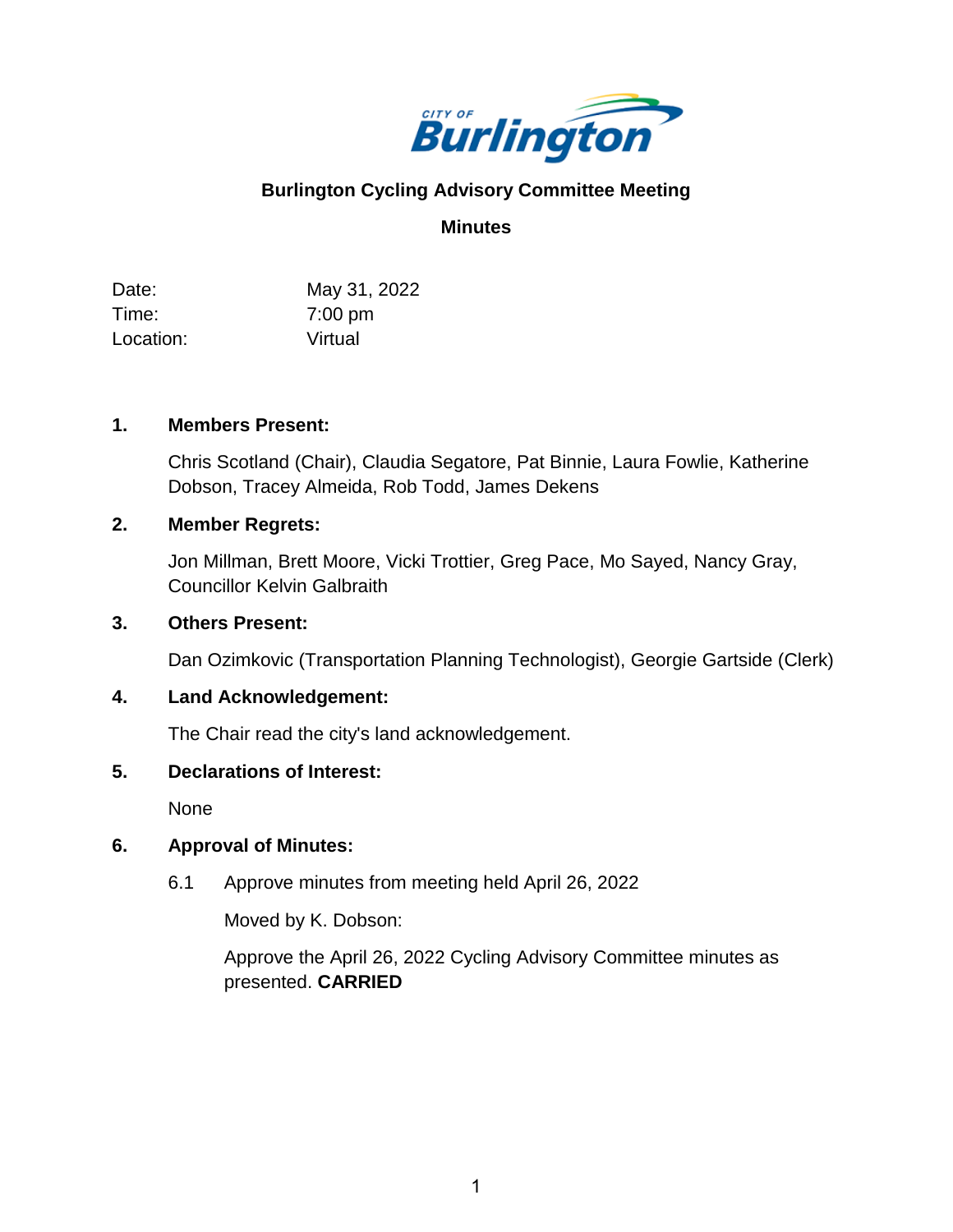

## **Burlington Cycling Advisory Committee Meeting**

### **Minutes**

Date: Time: Location: May 31, 2022 7:00 pm Virtual

#### **1. Members Present:**

Chris Scotland (Chair), Claudia Segatore, Pat Binnie, Laura Fowlie, Katherine Dobson, Tracey Almeida, Rob Todd, James Dekens

#### **2. Member Regrets:**

Jon Millman, Brett Moore, Vicki Trottier, Greg Pace, Mo Sayed, Nancy Gray, Councillor Kelvin Galbraith

#### **3. Others Present:**

Dan Ozimkovic (Transportation Planning Technologist), Georgie Gartside (Clerk)

### **4. Land Acknowledgement:**

The Chair read the city's land acknowledgement.

#### **5. Declarations of Interest:**

None

### **6. Approval of Minutes:**

6.1 Approve minutes from meeting held April 26, 2022

Moved by K. Dobson:

Approve the April 26, 2022 Cycling Advisory Committee minutes as presented. **CARRIED**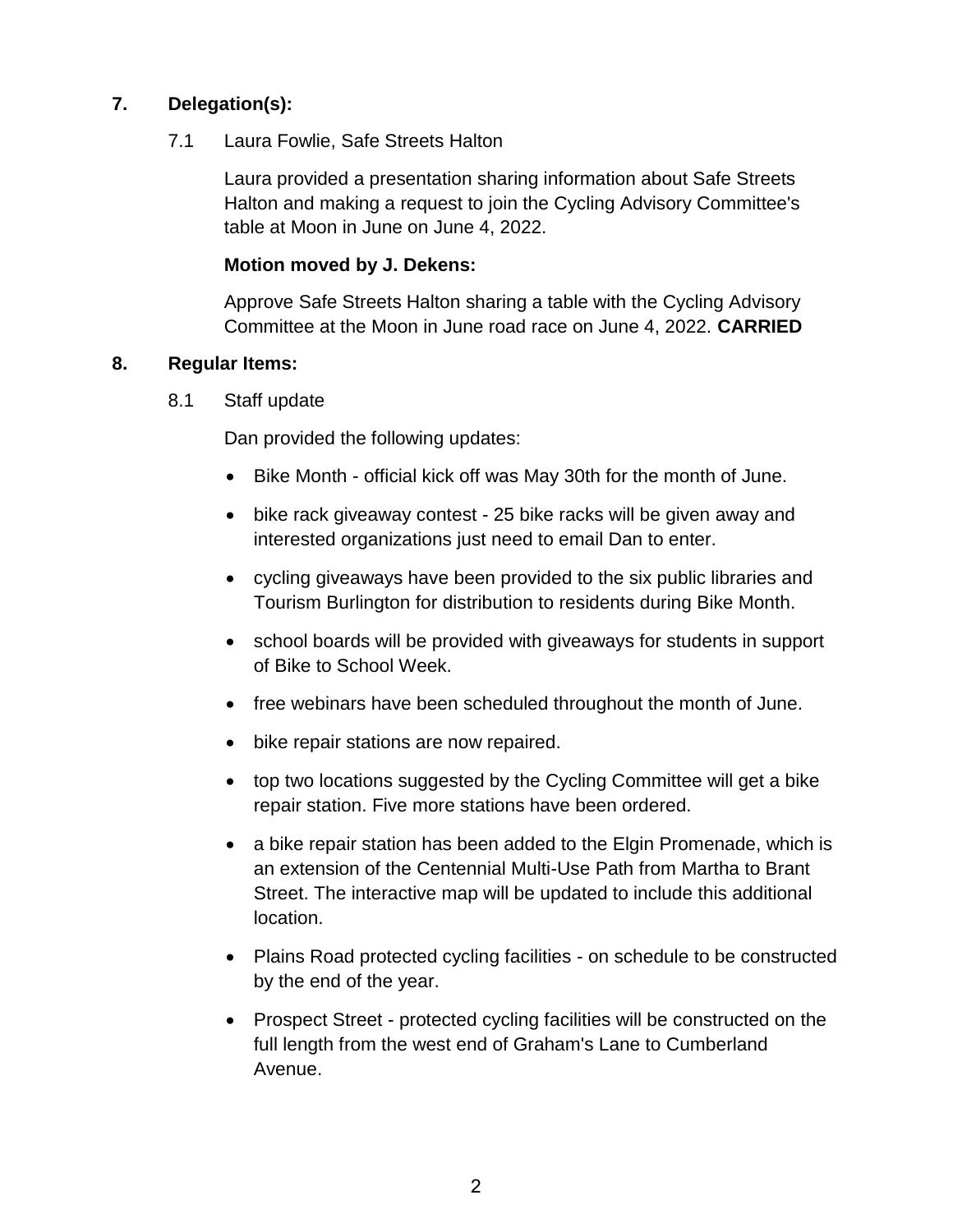### **7. Delegation(s):**

7.1 Laura Fowlie, Safe Streets Halton

Laura provided a presentation sharing information about Safe Streets Halton and making a request to join the Cycling Advisory Committee's table at Moon in June on June 4, 2022.

#### **Motion moved by J. Dekens:**

Approve Safe Streets Halton sharing a table with the Cycling Advisory Committee at the Moon in June road race on June 4, 2022. **CARRIED**

#### **8. Regular Items:**

8.1 Staff update

Dan provided the following updates:

- Bike Month official kick off was May 30th for the month of June.
- bike rack giveaway contest 25 bike racks will be given away and interested organizations just need to email Dan to enter.
- cycling giveaways have been provided to the six public libraries and Tourism Burlington for distribution to residents during Bike Month.
- school boards will be provided with giveaways for students in support of Bike to School Week.
- free webinars have been scheduled throughout the month of June.
- bike repair stations are now repaired.
- top two locations suggested by the Cycling Committee will get a bike repair station. Five more stations have been ordered.
- a bike repair station has been added to the Elgin Promenade, which is an extension of the Centennial Multi-Use Path from Martha to Brant Street. The interactive map will be updated to include this additional location.
- Plains Road protected cycling facilities on schedule to be constructed by the end of the year.
- Prospect Street protected cycling facilities will be constructed on the full length from the west end of Graham's Lane to Cumberland Avenue.